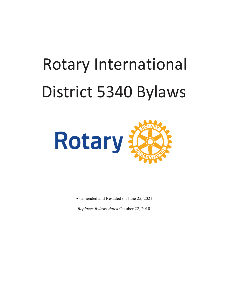# Rotary International District 5340 Bylaws



As amended and Restated on June 25, 2021

*Replaces Bylaws dated* October 22, 2010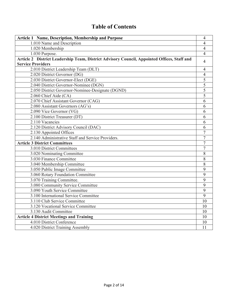# **Table of Contents**

| Article 1 Name, Description, Membership and Purpose                                                                     | 4              |
|-------------------------------------------------------------------------------------------------------------------------|----------------|
| 1.010 Name and Description                                                                                              | 4              |
| $1.020$ Membership                                                                                                      | 4              |
| 1.030 Purpose.                                                                                                          | 4              |
| Article 2 District Leadership Team, District Advisory Council, Appointed Offices, Staff and<br><b>Service Providers</b> | 4              |
|                                                                                                                         |                |
| 2.010 District Leadership Team (DLT)                                                                                    | 4              |
| 2.020 District Governor (DG)<br>2.030 District Governor-Elect (DGE)                                                     | 4<br>5         |
|                                                                                                                         | $\overline{5}$ |
| 2.040 District Governor-Nominee (DGN)                                                                                   |                |
| 2.050 District Governor-Nominee-Designate (DGND)                                                                        | 5              |
| 2.060 Chief Aide (CA)                                                                                                   | 5              |
| 2.070 Chief Assistant Governor (CAG)                                                                                    | 6              |
| 2.080 Assistant Governors (AG's)                                                                                        | 6              |
| 2.090 Vice Governor (VG)                                                                                                | 6              |
| 2.100 District Treasurer (DT)                                                                                           | 6              |
| 2.110 Vacancies                                                                                                         | 6              |
| 2.120 District Advisory Council (DAC)                                                                                   | 6              |
| 2.130 Appointed Offices                                                                                                 | $\overline{7}$ |
| 2.140 Administrative Staff and Service Providers.                                                                       | 7              |
| <b>Article 3 District Committees</b>                                                                                    | 7              |
| 3.010 District Committees                                                                                               | $\overline{7}$ |
| 3.020 Nominating Committee                                                                                              | 8              |
| 3.030 Finance Committee                                                                                                 | 8              |
| 3.040 Membership Committee                                                                                              | 8              |
| 3.050 Public Image Committee                                                                                            | 9              |
| 3.060 Rotary Foundation Committee                                                                                       | 9              |
| 3.070 Training Committee.                                                                                               | 9              |
| 3.080 Community Service Committee                                                                                       | 9              |
| 3.090 Youth Service Committee                                                                                           | 9              |
| 3.100 International Service Committee                                                                                   | 9              |
| 3.110 Club Service Committee                                                                                            | 10             |
| 3.120 Vocational Service Committee                                                                                      | 10             |
| 3.130 Audit Committee                                                                                                   | 10             |
| <b>Article 4 District Meetings and Training</b>                                                                         | 10             |
| 4.010 District Conference                                                                                               | 10             |
| 4.020 District Training Assembly                                                                                        | 11             |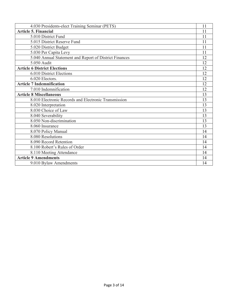| 4.030 Presidents-elect Training Seminar (PETS)         | 11 |
|--------------------------------------------------------|----|
| <b>Article 5. Financial</b>                            | 11 |
| 5.010 District Fund                                    | 11 |
| 5.015 District Reserve Fund                            | 11 |
| 5.020 District Budget                                  | 11 |
| 5.030 Per Capita Levy                                  | 11 |
| 5.040 Annual Statement and Report of District Finances | 12 |
| 5.050 Audit                                            | 12 |
| <b>Article 6 District Elections</b>                    | 12 |
| 6.010 District Elections                               | 12 |
| 6.020 Electors.                                        | 12 |
| <b>Article 7 Indemnification</b>                       | 12 |
| 7.010 Indemnification                                  | 12 |
| <b>Article 8 Miscellaneous</b>                         | 13 |
| 8.010 Electronic Records and Electronic Transmission   | 13 |
| 8.020 Interpretation                                   | 13 |
| 8.030 Choice of Law                                    | 13 |
| 8.040 Severability                                     | 13 |
| 8.050 Non-discrimination                               | 13 |
| 8.060 Insurance                                        | 13 |
| 8.070 Policy Manual                                    | 14 |
| 8.080 Resolutions                                      | 14 |
| 8.090 Record Retention                                 | 14 |
| 8.100 Robert's Rules of Order                          | 14 |
| 8.110 Meeting Attendance                               | 14 |
| <b>Article 9 Amendments</b>                            | 14 |
| 9.010 Bylaw Amendments                                 | 14 |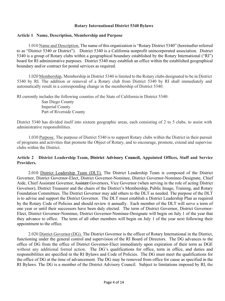#### **Rotary International District 5340 Bylaws**

#### **Article 1 Name, Description, Membership and Purpose**

1.010 Name and Description. The name of this organization is "Rotary District 5340" (hereinafter referred to as "District 5340 or District"). District 5340 is a California nonprofit unincorporated association. District 5340 is a group of Rotary clubs within a geographical boundary established by the Rotary International ("RI") board for RI administrative purposes. District 5340 may establish an office within the established geographical boundary and/or contract for postal services as required.

1.020 Membership**.** Membership in District 5340 is limited to the Rotary clubs designated to be in District 5340 by RI. The addition or removal of a Rotary club from District 5340 by RI shall immediately and automatically result in a corresponding change in the membership of District 5340.

RI currently includes the following counties of the State of California in District 5340:

San Diego County Imperial County Part of Riverside County

District 5340 has divided itself into sixteen geographic areas, each consisting of 2 to 5 clubs, to assist with administrative responsibilities.

1.030 Purpose.The purpose of District 5340 is to support Rotary clubs within the District in their pursuit of programs and activities that promote the Object of Rotary, and to encourage, promote, extend and supervise clubs within the District.

# **Article 2 District Leadership Team, District Advisory Council, Appointed Offices, Staff and Service Providers.**

2.010 District Leadership Team (DLT). The District Leadership Team is composed of the District Governor, District Governor-Elect, District Governor-Nominee, District Governor-Nominee-Designate, Chief Aide, Chief Assistant Governor, Assistant Governors, Vice Governor (when serving in the role of acting District Governor), District Treasurer and the chairs of the District's Membership, Public Image, Training, and Rotary Foundation Committees. The District Governor may add others to the DLT as needed. The purpose of the DLT is to advise and support the District Governor. The DLT must establish a District Leadership Plan as required by the Rotary Code of Policies and should review it annually. Each member of the DLT will serve a term of one year or until their successors have been duly elected. The term of District Governor, District Governor-Elect, District Governor-Nominee, District Governor-Nominee-Designate will begin on July 1 of the year that they advance to office. The term of all other members will begin on July 1 of the year next following their appointment to the office.

2.020 District Governor (DG). The District Governor is the officer of Rotary International in the District, functioning under the general control and supervision of the RI Board of Directors. The DG advances to the office of DG from the office of District Governor-Elect immediately upon expiration of their term as DGE without any additional formal action. The DG's qualifications for office, term in office, and duties and responsibilities are specified in the RI Bylaws and Code of Policies. The DG must meet the qualifications for the office of DG at the time of advancement. The DG may be removed from office for cause as specified in the RI Bylaws. The DG is a member of the District Advisory Council. Subject to limitations imposed by RI, the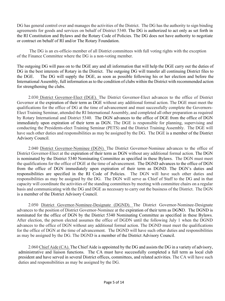DG has general control over and manages the activities of the District. The DG has the authority to sign binding agreements for goods and services on behalf of District 5340. The DG is authorized to act only as set forth in the RI Constitution and Bylaws and the Rotary Code of Policies. The DG does not have authority to negotiate or contract on behalf of RI and/or The Rotary Foundation.

The DG is an ex-officio member of all District committees with full voting rights with the exception of the Finance Committee where the DG is a non-voting member.

The outgoing DG will pass on to the DGE any and all information that will help the DGE carry out the duties of DG in the best interests of Rotary in the District. The outgoing DG will transfer all continuing District files to the DGE. The DG will supply the DGE, as soon as possible following his or her election and before the International Assembly, full information as to the condition of clubs within the District with recommended action for strengthening the clubs.

2.030 District Governor-Elect (DGE). The District Governor-Elect advances to the office of District Governor at the expiration of their term as DGE without any additional formal action. The DGE must meet the qualifications for the office of DG at the time of advancement and must successfully complete the Governors-Elect Training Seminar, attended the RI International Assembly, and completed all other preparation as required by Rotary International and District 5340. The DGN advances to the office of DGE from the office of DGN immediately upon expiration of their term as DGN. The DGE is responsible for planning, supervising and conducting the Presidents-elect Training Seminar (PETS) and the District Training Assembly. The DGE will have such other duties and responsibilities as may be assigned by the DG. The DGE is a member of the District Advisory Council.

2.040 District Governor-Nominee (DGN). The District Governor-Nominee advances to the office of District Governor-Elect at the expiration of their term as DGN without any additional formal action. The DGN is nominated by the District 5340 Nominating Committee as specified in these Bylaws. The DGN must meet the qualifications for the office of DGE at the time of advancement. The DGND advances to the office of DGN from the office of DGN immediately upon expiration of their term as DGND. The DGN's duties and responsibilities are specified in the RI Code of Policies. The DGN will have such other duties and responsibilities as may be assigned by the DG. The DGN will serve as Chief of Staff to the DG and in that capacity will coordinate the activities of the standing committees by meeting with committee chairs on a regular basis and communicating with the DG and DGE as necessary to carry out the business of the District. The DGN is a member of the District Advisory Council.

2.050 District Governor-Nominee-Designate (DGND). The District Governor-Nominee-Designate advances to the position of District Governor-Nominee at the expiration of their term as DG**N**D. The DGND is nominated for the office of DGN by the District 5340 Nominating Committee as specified in these Bylaws. After election, the person elected assumes the office of DGDN until the following July 1 when the DGND advances to the office of DGN without any additional formal action. The DGND must meet the qualifications for the office of DGN at the time of advancement. The DGND will have such other duties and responsibilities as may be assigned by the DG. The DGND is a member of the District Advisory Council.

2.060 Chief Aide (CA). The Chief Aide is appointed by the DG and assists the DG in a variety of advisory, administrative and liaison functions. The CA must have successfully completed a full term as local club president and have served in several District offices, committees, and related activities. The CA will have such duties and responsibilities as may be assigned by the DG.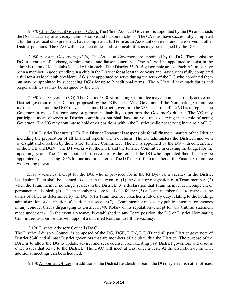2.070 Chief Assistant Governor (CAG). The Chief Assistant Governor is appointed by the DG and assists the DG in a variety of advisory, administrative and liaison functions. The CA must have successfully completed a full term as local club president, have completed a full term as an Assistant Governor and have served in other District positions. The CAG will have such duties and responsibilities as may be assigned by the DG.

2.080 Assistant Governors (AG's). The Assistant Governors are appointed by the DG. They assist the DG in a variety of advisory, administrative and liaison functions. One AG will be appointed to assist in the administration of local clubs located within each of the District 5340 16 geographic areas. Each AG must have been a member in good standing in a club in the District for at least three years and have successfully completed a full term as local club president. AG's are appointed to serve during the term of the DG who appointed them but may be appointed by succeeding DG's for up to 2 additional terms. The AG's will have such duties and responsibilities as may be assigned by the DG.

2.090 Vice Governor (VG). The District 5340 Nominating Committee may appoint a currently active past District governor of the District, proposed by the DGE, to be Vice Governor. If the Nominating Committee makes no selection, the DGE may select a past District governor to be VG. The role of the VG is to replace the Governor in case of a temporary or permanent inability to perform the Governor's duties. The VG may participate as an observer to District committees but shall have no vote unless serving in the role of acting Governor. The VG may continue to hold other positions within the District while not serving in the role of DG.

2.100 District Treasurer (DT). The District Treasurer is responsible for all financial matters of the District including the preparation of all financial reports and tax returns. The DT administers the District Fund with oversight and direction by the District Finance Committee. The DT is appointed by the DG with concurrence of the DGE and DGN. The DT works with the DGE and the Finance Committee in creating the budget for the upcoming year. The DT is appointed to serve during the term of the DG who appointed them but may be appointed by succeeding DG's for one additional term. The DT is ex-officio member of the Finance Committee with voting power.

2.110 Vacancies. Except for the DG, who is provided for in the RI Bylaws, a vacancy in the District Leadership Team shall be deemed to occur in the event of (1) the death or resignation of a Team member; (2) when the Team member no longer resides in the District; (3) a declaration that Team member is incompetent or permanently disabled; (4) a Team member is convicted of a felony; (5) a Team member fails to carry out the duties of office as determined by the DG; (6) a Team member breaches a fiduciary duty relating to the holding, administration or distribution of charitable assets; or (7) a Team member makes any public statement or engages in any conduct that is disparaging to District 5340, Rotary or its reputation (except for any truthful statement made under oath). In the event a vacancy is established in any Team position, the DG or District Nominating Committee, as appropriate, will appoint a qualified Rotarian to fill the vacancy.

#### 2.120 District Advisory Council (DAC).

The District Advisory Council is composed of the DG, DGE, DGN, DGND and all past District governors of District 5340 and all past District governors that are members of a club within the District. The purpose of the DAC is to allow the DG to update, advise, and seek counsel from existing past District governors and discuss other issues that relate to the District. The DAC will meet at least once a year. At the discretion of the DG, additional meetings can be scheduled.

2.130 Appointed Offices. In addition to the District Leadership Team, the DG may establish other offices,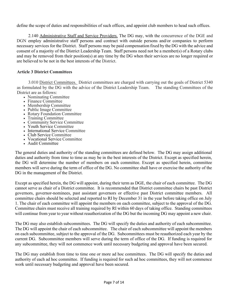define the scope of duties and responsibilities of such offices, and appoint club members to head such offices.

2.140 Administrative Staff and Service Providers. The DG may, with the concurrence of the DGE and DGN employ administrative staff persons and contract with outside persons and/or companies to perform necessary services for the District. Staff persons may be paid compensation fixed by the DG with the advice and consent of a majority of the District Leadership Team. Staff persons need not be a member(s) of a Rotary clubs and may be removed from their position(s) at any time by the DG when their services are no longer required or are believed to be not in the best interests of the District.

#### **Article 3 District Committees**

3.010 District Committees. District committees are charged with carrying out the goals of District 5340 as formulated by the DG with the advice of the District Leadership Team. The standing Committees of the District are as follows:

- Nominating Committee
- Finance Committee
- Membership Committee
- Public Image Committee
- Rotary Foundation Committee
- Training Committee
- Community Service Committee
- Youth Service Committee
- International Service Committee
- Club Service Committee
- Vocational Service Committee
- Audit Committee

The general duties and authority of the standing committees are defined below. The DG may assign additional duties and authority from time to time as may be in the best interests of the District. Except as specified herein, the DG will determine the number of members on each committee. Except as specified herein, committee members will serve during the term of office of the DG. No committee shall have or exercise the authority of the DG in the management of the District.

Except as specified herein, the DG will appoint, during their term as DGE, the chair of each committee. The DG cannot serve as chair of a District committee. It is recommended that District committee chairs be past District governors, governor-nominees, past assistant governors or effective past District committee members. All committee chairs should be selected and reported to RI by December 31 in the year before taking office on July 1. The chair of each committee will appoint the members on each committee, subject to the approval of the DG. Committee chairs must receive all training required by RI within 60 days of taking office. Standing committees will continue from year to year without reauthorization of the DG but the incoming DG may appoint a new chair.

The DG may also establish subcommittees. The DG will specify the duties and authority of each subcommittee. The DG will appoint the chair of each subcommittee. The chair of each subcommittee will appoint the members on each subcommittee, subject to the approval of the DG. Subcommittees must be reauthorized each year by the current DG. Subcommittee members will serve during the term of office of the DG. If funding is required for any subcommittee, they will not commence work until necessary budgeting and approval have been secured.

The DG may establish from time to time one or more ad hoc committees. The DG will specify the duties and authority of each ad hoc committee. If funding is required for such ad hoc committees, they will not commence work until necessary budgeting and approval have been secured.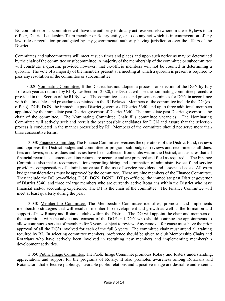No committee or subcommittee will have the authority to do any act reserved elsewhere in these Bylaws to an officer, District Leadership Team member or Rotary entity, or to do any act which is in contravention of any law, rule or regulation promulgated by any governmental authority having jurisdiction over the affairs of the District.

Committees and subcommittees will meet at such times and places and upon such notice as may be determined by the chair of the committee or subcommittee. A majority of the membership of the committee or subcommittee will constitute a quorum, provided however, that ex-officio members will not be counted in determining a quorum. The vote of a majority of the members present at a meeting at which a quorum is present is required to pass any resolution of the committee or subcommittee

3.020 Nominating Committee. If the District has not adopted a process for selection of the DGN by July 1 of each year as required by RI Bylaw Section 12.020, the District will use the nominating committee procedure provided in that Section of the RI Bylaws. The committee selects and presents nominees for DGN in accordance with the timetables and procedures contained in the RI Bylaws. Members of the committee include the DG (exofficio), DGE, DGN, the immediate past District governor of District 5340, and up to three additional members appointed by the immediate past District governor of District 5340. The immediate past District governor is the chair of the committee. The Nominating Committee Chair fills committee vacancies.The Nominating Committee will actively seek and recruit the best possible candidates for DGN and assure that the selection process is conducted in the manner prescribed by RI. Members of the committee should not serve more than three consecutive terms.

3.030 Finance Committee. The Finance Committee oversees the operations of the District Fund, reviews and approves the District budget and committee or program sub-budgets; reviews and recommends all dues, fees and levies; ensures dues and levies have been collected from clubs within the District, and assures that all financial records, statements and tax returns are accurate and are prepared and filed as required. The Finance Committee also makes recommendations regarding hiring and termination of administrative staff and service providers, compensation of administrative staff, the use of service providers and associated costs. All extra budget considerations must be approved by the committee. There are nine members of the Finance Committee. They include the DG (ex-officio), DGE, DGN, DGND, DT (ex-officio), the immediate past District governor of District 5340, and three at-large members who are currently active Rotarians within the District who have financial and/or accounting experience, The DT is the chair of the committee. The Finance Committee will meet at least quarterly during the year.

3.040 Membership Committee. The Membership Committee identifies, promotes and implements membership strategies that will result in membership development and growth as well as the formation and support of new Rotary and Rotaract clubs within the District. The DG will appoint the chair and members of the committee with the advice and consent of the DGE and DGN who should continue the appointments to allow continuous service of members for 3 years, subject to review. Any removal for cause must have the prior approval of all the DG's involved for each of the full 3 years. The committee chair must attend all training required by RI. In selecting committee members, preference should be given to club Membership Chairs and Rotarians who have actively been involved in recruiting new members and implementing membership development activities.

3.050 Public Image Committee. The Public Image Committee promotes Rotary and fosters understanding, appreciation, and support for the programs of Rotary. It also promotes awareness among Rotarians and Rotaractors that effective publicity, favorable public relations and a positive image are desirable and essential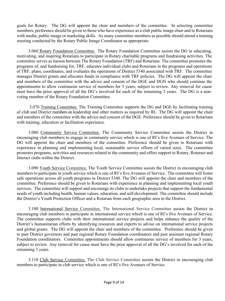goals for Rotary. The DG will appoint the chair and members of the committee. In selecting committee members, preference should be given to those who have experience as a club public image chair and to Rotarians with media, public image or marketing skills. As many committee members as possible should attend a training meeting conducted by the Rotary Public Image Coordinator as appropriate.

3.060 Rotary Foundation Committee. The Rotary Foundation Committee assists the DG in educating, motivating, and inspiring Rotarians to participate in Rotary charitable programs and fundraising activities. The committee serves as liaison between The Rotary Foundation (TRF) and Rotarians. The committee promotes the programs of, and fundraising for, TRF, educates individual clubs and Rotarians in the programs and operations of TRF, plans, coordinates, and evaluates the operations of District 5340 associated with TRF. The committee manages District grants and allocates funds in compliance with TRF policies. The DG will appoint the chair and members of the committee with the advice and consent of the DGE and DGN who should continue the appointments to allow continuous service of members for 3 years, subject to review. Any removal for cause must have the prior approval of all the DG's involved for each of the remaining 3 years. The DG is a nonvoting member of the Rotary Foundation Committee.

3.070 Training Committee. The Training Committee supports the DG and DGE by facilitating training of club and District members on leadership and other matters as required by RI. The DG will appoint the chair and members of the committee with the advice and consent of the DGE. Preference should be given to Rotarians with training, education or facilitation experience.

3.080 Community Service Committee. The Community Service Committee assists the District in encouraging club members to engage in community service which is one of RI's five Avenues of Service. The DG will appoint the chair and members of the committee. Preference should be given to Rotarians with experience in planning and implementing local, sustainable service efforts of varied sizes. The committee promotes programs, activities and resources related to the community and offers support to Rotary, Rotaract and Interact clubs within the District.

3.090 Youth Service Committee**.** The Youth Service Committee assists the District in encouraging club members to participate in youth service which is one of RI's five Avenues of Service. The committee will foster safe operations across all youth programs in District 5340. The DG will appoint the chair and members of the committee. Preference should be given to Rotarians with experience in planning and implementing local youth services. The committee will support and encourage its clubs to undertake projects that support the fundamental needs of youth including health, human values, education, and self-development. The committee should include the District's Youth Protection Officer and a Rotarian from each geographic area in the District.

3.100 International Service Committee. The International Service Committee assists the District in encouraging club members to participate in international service which is one of RI's five Avenues of Service. The committee supports clubs with their international service projects and helps enhance the quality of the District's humanitarian efforts by identifying resources and experts to advise on international service projects and global grants. The DG will appoint the chair and members of the committee. Preference should be given to past District governors and past regional Rotary Foundation coordinators and past assistant regional Rotary Foundation coordinators. Committee appointments should allow continuous service of members for 3 years, subject to review. Any removal for cause must have the prior approval of all the DG's involved for each of the remaining 3 years.

3.110 Club Service Committee. The Club Service Committee assists the District in encouraging club members to participate in club service which is one of RI's five Avenues of Service.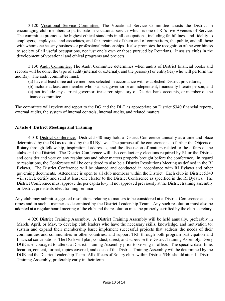3.120 Vocational Service Committee. The Vocational Service Committee assists the District in encouraging club members to participate in vocational service which is one of RI's five Avenues of Service. The committee promotes the highest ethical standards in all occupations, including faithfulness and fidelity to employers, employees, and associates, and fair treatment of them and of competitors, the public, and all those with whom one has any business or professional relationships. It also promotes the recognition of the worthiness to society of all useful occupations, not just one's own or those pursued by Rotarians. It assists clubs in the development of vocational and ethical programs and projects.

3.130 Audit Committee. The Audit Committee determines when audits of District financial books and records will be done, the type of audit (internal or external), and the person(s) or entity(ies) who will perform the audit(s). The audit committee must:

(a) have at least three active members selected in accordance with established District procedures;

(b) include at least one member who is a past governor or an independent, financially literate person; and

(c) not include any current governor, treasurer, signatory of District bank accounts, or member of the finance committee.

The committee will review and report to the DG and the DLT as appropriate on District 5340 financial reports, external audits, the system of internal controls, internal audits, and related matters.

#### **Article 4 District Meetings and Training**

4.010 District Conference. District 5340 may hold a District Conference annually at a time and place determined by the DG as required by the RI Bylaws. The purpose of the conference is to further the Objects of Rotary through fellowship, inspirational addresses, and the discussion of matters related to the affairs of the clubs and the District. The District Conference will also conduct any elections required by RI or the District and consider and vote on any resolutions and other matters properly brought before the conference. In regard to resolutions, the Conference will be considered to also be a District Resolutions Meeting as defined in the RI Bylaws. The District Conference will be planned and conducted in accordance with RI Bylaws and other governing documents. Attendance is open to all club members within the District. Each club in District 5340 will select, certify and send at least one elector to the District Conference as specified in the RI Bylaws. The District Conference must approve the per capita levy, if not approved previously at the District training assembly or District presidents-elect training seminar.

Any club may submit suggested resolutions relating to matters to be considered at a District Conference at such times and in such a manner as determined by the District Leadership Team. Any such resolution must also be adopted at a regular board meeting of the club and the resolution must be properly certified by the club secretary.

4.020 District Training Assembly. A District Training Assembly will be held annually, preferably in March, April, or May, to develop club leaders who have the necessary skills, knowledge, and motivation to: sustain and expand their membership base; implement successful projects that address the needs of their communities and communities in other countries; and support TRF through both program participation and financial contributions. The DGE will plan, conduct, direct, and supervise the District Training Assembly. Every DGE is encouraged to attend a District Training Assembly prior to serving in office. The specific date, time, location, content, format, topics covered, and costs of the District Training Assembly will be determined by the DGE and the District Leadership Team. All officers of Rotary clubs within District 5340 should attend a District Training Assembly, preferably early in their term.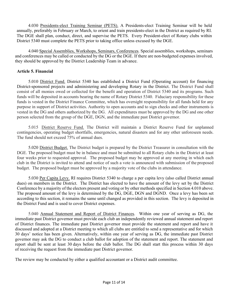4.030 Presidents-elect Training Seminar (PETS). A Presidents-elect Training Seminar will be held annually, preferably in February or March, to orient and train presidents-elect in the District as required by RI. The DGE shall plan, conduct, direct, and supervise the PETS. Every President-elect of Rotary clubs within District 5340 must complete the PETS prior to taking office unless excused by the DGE.

4.040 Special Assemblies, Workshops, Seminars, Conferences. Special assemblies, workshops, seminars and conferences may be called or conducted by the DG or the DGE. If there are non-budgeted expenses involved, they should be approved by the District Leadership Team in advance.

# **Article 5. Financial**

5.010 District Fund. District 5340 has established a District Fund (Operating account) for financing District-sponsored projects and administering and developing Rotary in the District. The District Fund shall consist of all monies owed or collected for the benefit and operation of District 5340 and its programs. Such funds will be deposited in accounts bearing the name of Rotary District 5340. Fiduciary responsibility for these funds is vested in the District Finance Committee, which has oversight responsibility for all funds held for any purpose in support of District activities. Authority to open accounts and to sign checks and other instruments is vested in the DG and others authorized by the DG. All expenditures must be approved by the DG and one other person selected from the group of the DGE, DGN, and the immediate past District governor.

5.015 District Reserve Fund. The District will maintain a District Reserve Fund for unplanned contingencies, operating budget shortfalls, emergencies, natural disasters and for any other unforeseen needs. The fund should not exceed 75% of annual dues.

5.020 District Budget. The District budget is prepared by the District Treasurer in consultation with the DGE. The proposed budget must be in balance and must be submitted to all Rotary clubs in the District at least four weeks prior to requested approval. The proposed budget may be approved at any meeting in which each club in the District is invited to attend and notice of such a vote is announced with submission of the proposed budget. The proposed budget must be approved by a majority vote of the clubs in attendance.

5.030 Per Capita Levy. RI requires District 5340 to charge a per capita levy (also called District annual dues) on members in the District. The District has elected to have the amount of the levy set by the District Conference by a majority of the electors present and voting or by other methods specified in Section 4.010 above. The proposed amount of the levy is determined by the DG, DGE, DGN and DGND. Once a levy has been set according to this section, it remains the same until changed as provided in this section. The levy is deposited in the District Fund and is used to cover District expenses.

5.040 Annual Statement and Report of District Finances.Within one year of serving as DG, the immediate past District governor must provide each club an independently reviewed annual statement and report of District finances. The immediate past District governor must provide the statement and report and have it discussed and adopted at a District meeting to which all clubs are entitled to send a representative and for which 30 days' notice has been given. Alternatively, within one year of serving as DG, the immediate past District governor may ask the DG to conduct a club ballot for adoption of the statement and report. The statement and report shall be sent at least 30 days before the club ballot. The DG shall start this process within 30 days of receiving the request from the immediate past District governor.

The review may be conducted by either a qualified accountant or a District audit committee.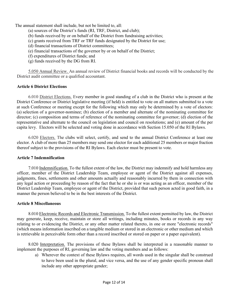The annual statement shall include, but not be limited to, all:

- (a) sources of the District's funds (RI, TRF, District, and club);
- (b) funds received by or on behalf of the District from fundraising activities;
- (c) grants received from TRF or TRF funds designated by the District for use;
- (d) financial transactions of District committees;
- (e) financial transactions of the governor by or on behalf of the District;
- (f) expenditures of District funds; and
- (g) funds received by the DG from RI.

5.050 Annual Review. An annual review of District financial books and records will be conducted by the District audit committee or a qualified accountant.

# **Article 6 District Elections**

6.010 District Elections. Every member in good standing of a club in the District who is present at the District Conference or District legislative meeting (if held) is entitled to vote on all matters submitted to a vote at such Conference or meeting except for the following which may only be determined by a vote of electors: (a) selection of a governor-nominee; (b) election of a member and alternate of the nominating committee for director; (c) composition and terms of reference of the nominating committee for governor; (d) election of the representative and alternate to the council on legislation and council on resolutions; and (e) amount of the per capita levy. Electors will be selected and voting done in accordance with Section 15.050 of the RI Bylaws.

6.020 Electors. The clubs will select, certify, and send to the annual District Conference at least one elector. A club of more than 25 members may send one elector for each additional 25 members or major fraction thereof subject to the provisions of the RI Bylaws. Each elector must be present to vote.

#### **Article 7 Indemnification**

7.010 Indemnification. To the fullest extent of the law, the District may indemnify and hold harmless any officer, member of the District Leadership Team, employee or agent of the District against all expenses, judgments, fines, settlements and other amounts actually and reasonably incurred by them in connection with any legal action or proceeding by reason of the fact that he or she is or was acting as an officer, member of the District Leadership Team, employee or agent of the District, provided that such person acted in good faith, in a manner the person believed to be in the best interests of the District.

#### **Article 8 Miscellaneous**

8.010 Electronic Records and Electronic Transmission. To the fullest extent permitted by law, the District may generate, keep, receive, maintain or store all writings, including minutes, books or records in any way relating to or evidencing the District, or any other matter related thereto, in one or more "electronic records" (which means information inscribed on a tangible medium or stored in an electronic or other medium and which is retrievable in perceivable form other than a record inscribed or stored on paper or a paper equivalent).

8.020 Interpretation. The provisions of these Bylaws shall be interpreted in a reasonable manner to implement the purposes of RI, governing law and the voting members and as follows:

a) Wherever the context of these Bylaws requires, all words used in the singular shall be construed to have been used in the plural, and vice versa, and the use of any gender specific pronoun shall include any other appropriate gender;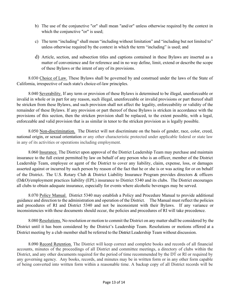- b) The use of the conjunctive "or" shall mean "and/or" unless otherwise required by the context in which the conjunctive "or" is used;
- c) The term "including" shall mean "including without limitation" and "including but not limited to" unless otherwise required by the context in which the term "including" is used; and
- d) Article, section, and subsection titles and captions contained in these Bylaws are inserted as a matter of convenience and for reference and in no way define, limit, extend or describe the scope of these Bylaws or the intent of any of its provisions.

8.030 Choice of Law. These Bylaws shall be governed by and construed under the laws of the State of California, irrespective of such state's choice-of-law principles.

8.040 Severability. If any term or provision of these Bylaws is determined to be illegal, unenforceable or invalid in whole or in part for any reason, such illegal, unenforceable or invalid provisions or part thereof shall be stricken from these Bylaws, and such provision shall not affect the legality, enforceability or validity of the remainder of these Bylaws. If any provision or part thereof of these Bylaws is stricken in accordance with the provisions of this section, then the stricken provision shall be replaced, to the extent possible, with a legal, enforceable and valid provision that is as similar in tenor to the stricken provision as is legally possible.

8.050 Non-discrimination. The District will not discriminate on the basis of gender, race, color, creed, national origin, or sexual orientation or any other characteristic protected under applicable federal or state law in any of its activities or operations including employment.

8.060 Insurance. The District upon approval of the District Leadership Team may purchase and maintain insurance to the full extent permitted by law on behalf of any person who is an officer, member of the District Leadership Team, employee or agent of the District to cover any liability, claim, expense, loss, or damages asserted against or incurred by such person by reason of the fact that he or she is or was acting for or on behalf of the District. The U.S. Rotary Club & District Liability Insurance Program provides directors & officers (D&O)/employment practices liability (EPL) insurance to District 5340 and its clubs. The District encourages all clubs to obtain adequate insurance, especially for events where alcoholic beverages may be served.

8.070 Policy Manual. District 5340 may establish a Policy and Procedure Manual to provide additional guidance and direction to the administration and operation of the District. The Manual must reflect the policies and procedures of RI and District 5340 and not be inconsistent with their Bylaws. If any variance or inconsistencies with these documents should occur, the policies and procedures of RI will take precedence.

8.080 Resolutions. No resolution or motion to commit the District on any mattershall be considered by the District until it has been considered by the District's Leadership Team. Resolutions or motions offered at a District meeting by a club member shall be referred to the District Leadership Team without discussion.

8.090 Record Retention. The District will keep correct and complete books and records of all financial accounts, minutes of the proceedings of all District and committee meetings, a directory of clubs within the District, and any other documents required for the period of time recommended by the DT or RI or required by any governing agency. Any books, records, and minutes may be in written form or in any other form capable of being converted into written form within a reasonable time. A backup copy of all District records will be